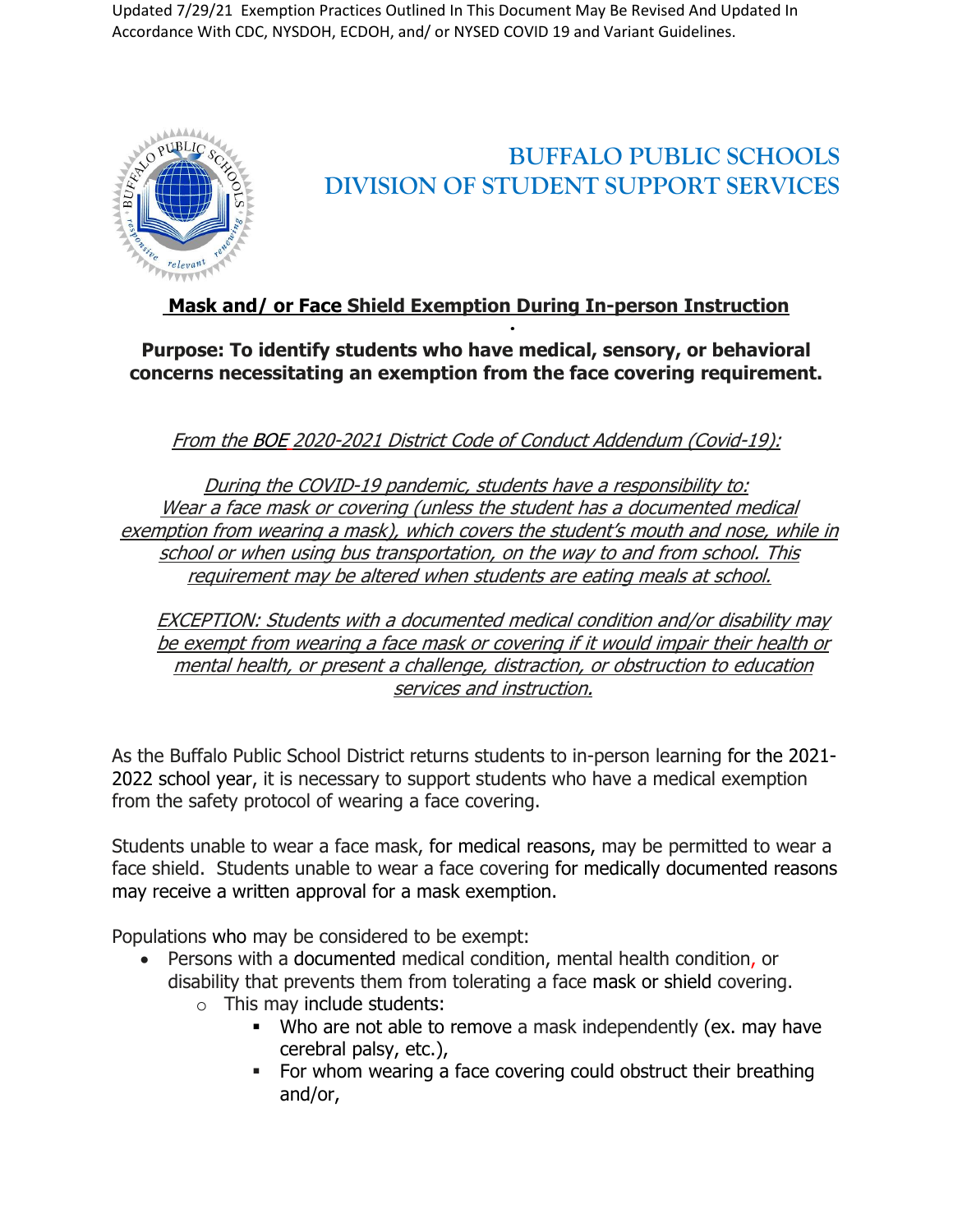Updated 7/29/21 Exemption Practices Outlined In This Document May Be Revised And Updated In Accordance With CDC, NYSDOH, ECDOH, and/ or NYSED COVID 19 and Variant Guidelines.



## **BUFFALO PUBLIC SCHOOLS DIVISION OF STUDENT SUPPORT SERVICES**

## **Mask and/ or Face Shield Exemption During In-person Instruction**

**Purpose: To identify students who have medical, sensory, or behavioral concerns necessitating an exemption from the face covering requirement.**

From the BOE 2020-2021 District Code of Conduct Addendum (Covid-19):

During the COVID-19 pandemic, students have <sup>a</sup> responsibility to: Wear <sup>a</sup> face mask or covering (unless the student has <sup>a</sup> documented medical exemption from wearing <sup>a</sup> mask), which covers the student's mouth and nose, while in school or when using bus transportation, on the way to and from school. This requirement may be altered when students are eating meals at school.

EXCEPTION: Students with <sup>a</sup> documented medical condition and/or disability may be exempt from wearing <sup>a</sup> face mask or covering if it would impair their health or mental health, or present <sup>a</sup> challenge, distraction, or obstruction to education services and instruction.

As the Buffalo Public School District returns students to in-person learning for the 2021- 2022 school year, it is necessary to support students who have a medical exemption from the safety protocol of wearing a face covering.

Students unable to wear a face mask, for medical reasons, may be permitted to wear a face shield. Students unable to wear a face covering for medically documented reasons may receive a written approval for a mask exemption.

Populations who may be considered to be exempt:

- Persons with a documented medical condition, mental health condition, or disability that prevents them from tolerating a face mask or shield covering.
	- o This may include students:
		- Who are not able to remove a mask independently (ex. may have cerebral palsy, etc.),
		- For whom wearing a face covering could obstruct their breathing and/or,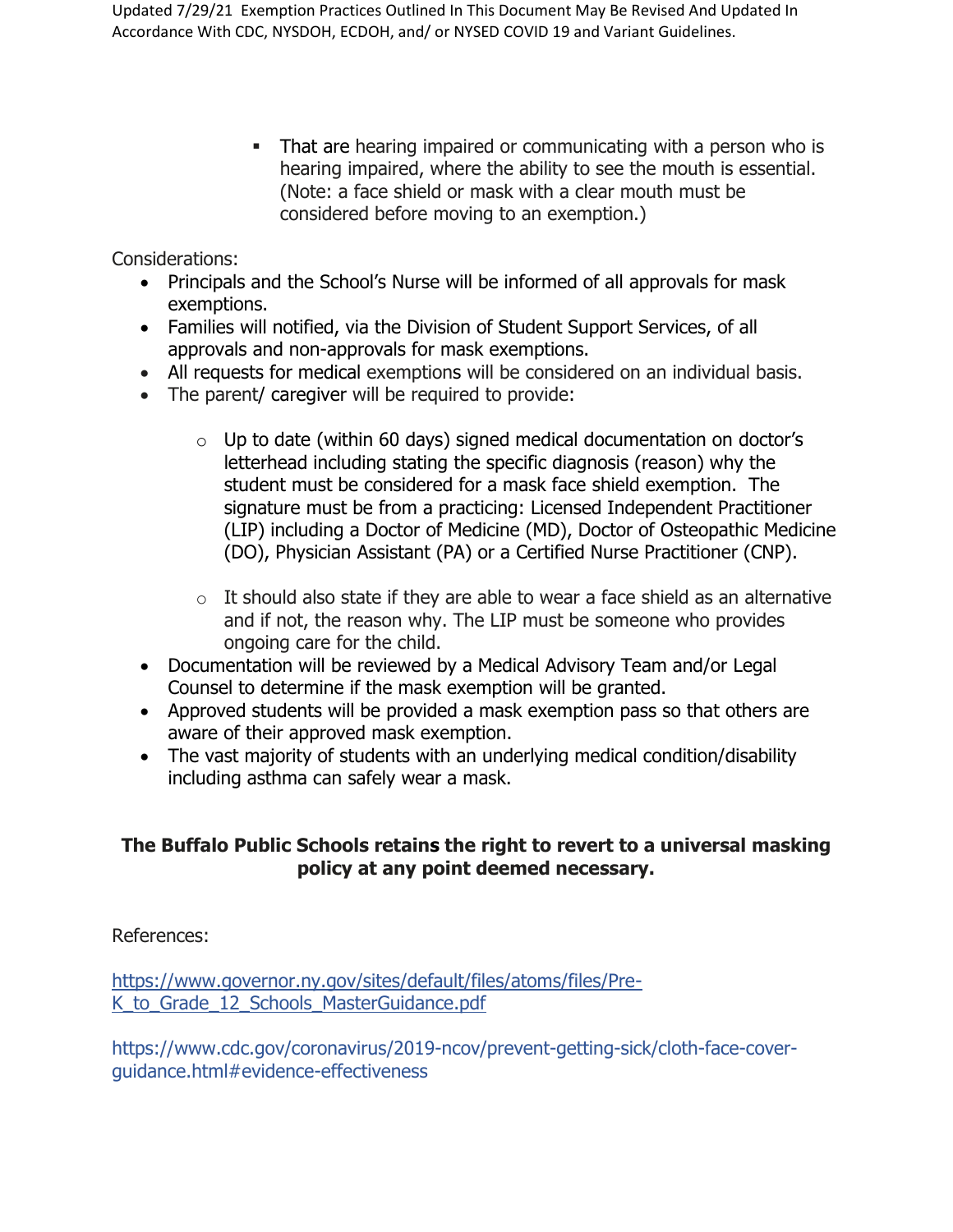• That are hearing impaired or communicating with a person who is hearing impaired, where the ability to see the mouth is essential. (Note: a face shield or mask with a clear mouth must be considered before moving to an exemption.)

Considerations:

- Principals and the School's Nurse will be informed of all approvals for mask exemptions.
- Families will notified, via the Division of Student Support Services, of all approvals and non-approvals for mask exemptions.
- All requests for medical exemptions will be considered on an individual basis.
- The parent/ caregiver will be required to provide:
	- $\circ$  Up to date (within 60 days) signed medical documentation on doctor's letterhead including stating the specific diagnosis (reason) why the student must be considered for a mask face shield exemption. The signature must be from a practicing: Licensed Independent Practitioner (LIP) including a Doctor of Medicine (MD), Doctor of Osteopathic Medicine (DO), Physician Assistant (PA) or a Certified Nurse Practitioner (CNP).
	- $\circ$  It should also state if they are able to wear a face shield as an alternative and if not, the reason why. The LIP must be someone who provides ongoing care for the child.
- Documentation will be reviewed by a Medical Advisory Team and/or Legal Counsel to determine if the mask exemption will be granted.
- Approved students will be provided a mask exemption pass so that others are aware of their approved mask exemption.
- The vast majority of students with an underlying medical condition/disability including asthma can safely wear a mask.

## **The Buffalo Public Schools retains the right to revert to a universal masking policy at any point deemed necessary.**

References:

[https://www.governor.ny.gov/sites/default/files/atoms/files/Pre-](https://www.governor.ny.gov/sites/default/files/atoms/files/Pre-K_to_Grade_12_Schools_MasterGuidance.pdf)K to Grade 12 Schools MasterGuidance.pdf

https://www.cdc.gov/coronavirus/2019-ncov/prevent-getting-sick/cloth-face-coverguidance.html#evidence-effectiveness